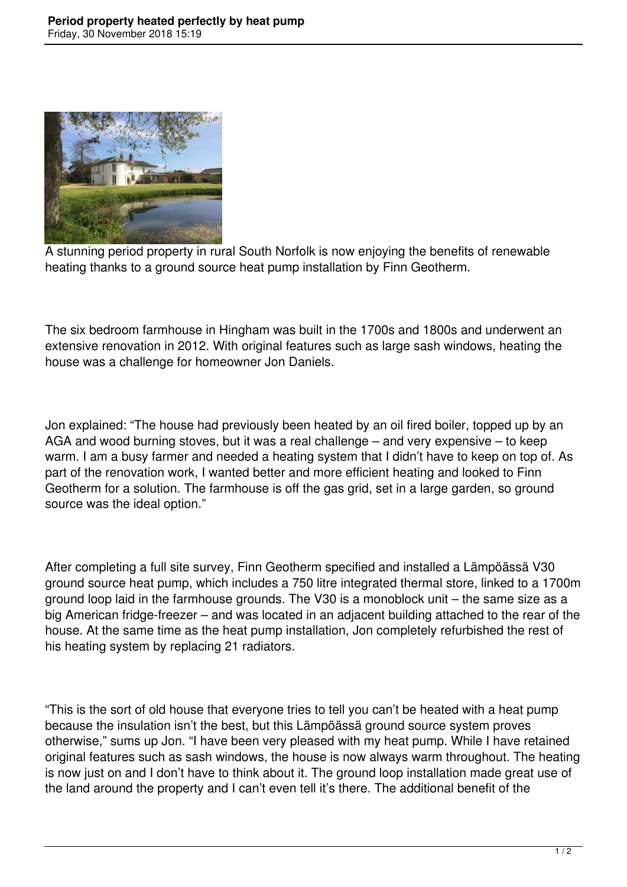

A stunning period property in rural South Norfolk is now enjoying the benefits of renewable heating thanks to a ground source heat pump installation by Finn Geotherm.

The six bedroom farmhouse in Hingham was built in the 1700s and 1800s and underwent an extensive renovation in 2012. With original features such as large sash windows, heating the house was a challenge for homeowner Jon Daniels.

Jon explained: "The house had previously been heated by an oil fired boiler, topped up by an AGA and wood burning stoves, but it was a real challenge – and very expensive – to keep warm. I am a busy farmer and needed a heating system that I didn't have to keep on top of. As part of the renovation work, I wanted better and more efficient heating and looked to Finn Geotherm for a solution. The farmhouse is off the gas grid, set in a large garden, so ground source was the ideal option."

After completing a full site survey, Finn Geotherm specified and installed a Lämpöässä V30 ground source heat pump, which includes a 750 litre integrated thermal store, linked to a 1700m ground loop laid in the farmhouse grounds. The V30 is a monoblock unit – the same size as a big American fridge-freezer – and was located in an adjacent building attached to the rear of the house. At the same time as the heat pump installation, Jon completely refurbished the rest of his heating system by replacing 21 radiators.

"This is the sort of old house that everyone tries to tell you can't be heated with a heat pump because the insulation isn't the best, but this Lämpöässä ground source system proves otherwise," sums up Jon. "I have been very pleased with my heat pump. While I have retained original features such as sash windows, the house is now always warm throughout. The heating is now just on and I don't have to think about it. The ground loop installation made great use of the land around the property and I can't even tell it's there. The additional benefit of the